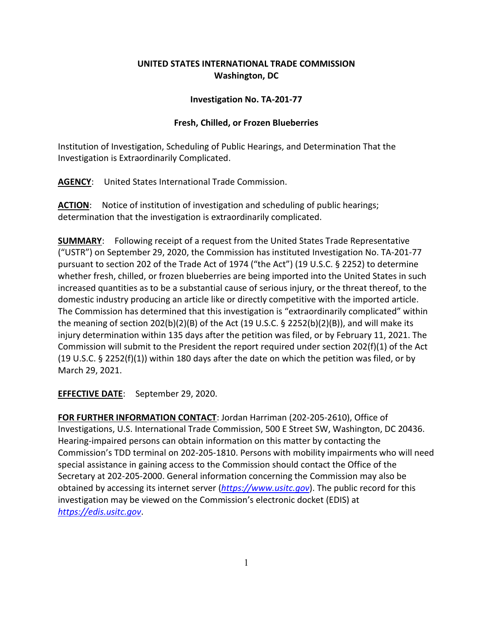## **UNITED STATES INTERNATIONAL TRADE COMMISSION Washington, DC**

## **Investigation No. TA-201-77**

## **Fresh, Chilled, or Frozen Blueberries**

Institution of Investigation, Scheduling of Public Hearings, and Determination That the Investigation is Extraordinarily Complicated.

**AGENCY**: United States International Trade Commission.

**ACTION**: Notice of institution of investigation and scheduling of public hearings; determination that the investigation is extraordinarily complicated.

**SUMMARY**: Following receipt of a request from the United States Trade Representative ("USTR") on September 29, 2020, the Commission has instituted Investigation No. TA-201-77 pursuant to section 202 of the Trade Act of 1974 ("the Act") (19 U.S.C. § 2252) to determine whether fresh, chilled, or frozen blueberries are being imported into the United States in such increased quantities as to be a substantial cause of serious injury, or the threat thereof, to the domestic industry producing an article like or directly competitive with the imported article. The Commission has determined that this investigation is "extraordinarily complicated" within the meaning of section 202(b)(2)(B) of the Act (19 U.S.C.  $\S$  2252(b)(2)(B)), and will make its injury determination within 135 days after the petition was filed, or by February 11, 2021. The Commission will submit to the President the report required under section 202(f)(1) of the Act (19 U.S.C. § 2252(f)(1)) within 180 days after the date on which the petition was filed, or by March 29, 2021.

**EFFECTIVE DATE**: September 29, 2020.

**FOR FURTHER INFORMATION CONTACT**: Jordan Harriman (202-205-2610), Office of Investigations, U.S. International Trade Commission, 500 E Street SW, Washington, DC 20436. Hearing-impaired persons can obtain information on this matter by contacting the Commission's TDD terminal on 202-205-1810. Persons with mobility impairments who will need special assistance in gaining access to the Commission should contact the Office of the Secretary at 202-205-2000. General information concerning the Commission may also be obtained by accessing its internet server (*[https://www.usitc.gov](https://www.usitc.gov/)*). The public record for this investigation may be viewed on the Commission's electronic docket (EDIS) at *[https://edis.usitc.gov](https://edis.usitc.gov/)*.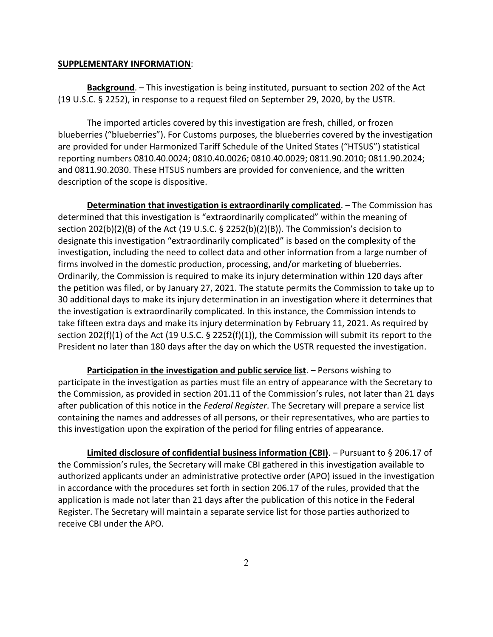## **SUPPLEMENTARY INFORMATION**:

**Background**. – This investigation is being instituted, pursuant to section 202 of the Act (19 U.S.C. § 2252), in response to a request filed on September 29, 2020, by the USTR.

The imported articles covered by this investigation are fresh, chilled, or frozen blueberries ("blueberries"). For Customs purposes, the blueberries covered by the investigation are provided for under Harmonized Tariff Schedule of the United States ("HTSUS") statistical reporting numbers 0810.40.0024; 0810.40.0026; 0810.40.0029; 0811.90.2010; 0811.90.2024; and 0811.90.2030. These HTSUS numbers are provided for convenience, and the written description of the scope is dispositive.

**Determination that investigation is extraordinarily complicated**. – The Commission has determined that this investigation is "extraordinarily complicated" within the meaning of section 202(b)(2)(B) of the Act (19 U.S.C. § 2252(b)(2)(B)). The Commission's decision to designate this investigation "extraordinarily complicated" is based on the complexity of the investigation, including the need to collect data and other information from a large number of firms involved in the domestic production, processing, and/or marketing of blueberries. Ordinarily, the Commission is required to make its injury determination within 120 days after the petition was filed, or by January 27, 2021. The statute permits the Commission to take up to 30 additional days to make its injury determination in an investigation where it determines that the investigation is extraordinarily complicated. In this instance, the Commission intends to take fifteen extra days and make its injury determination by February 11, 2021. As required by section 202(f)(1) of the Act (19 U.S.C.  $\S$  2252(f)(1)), the Commission will submit its report to the President no later than 180 days after the day on which the USTR requested the investigation.

**Participation in the investigation and public service list**. – Persons wishing to participate in the investigation as parties must file an entry of appearance with the Secretary to the Commission, as provided in section 201.11 of the Commission's rules, not later than 21 days after publication of this notice in the *Federal Register*. The Secretary will prepare a service list containing the names and addresses of all persons, or their representatives, who are parties to this investigation upon the expiration of the period for filing entries of appearance.

**Limited disclosure of confidential business information (CBI)**. – Pursuant to § 206.17 of the Commission's rules, the Secretary will make CBI gathered in this investigation available to authorized applicants under an administrative protective order (APO) issued in the investigation in accordance with the procedures set forth in section 206.17 of the rules, provided that the application is made not later than 21 days after the publication of this notice in the Federal Register. The Secretary will maintain a separate service list for those parties authorized to receive CBI under the APO.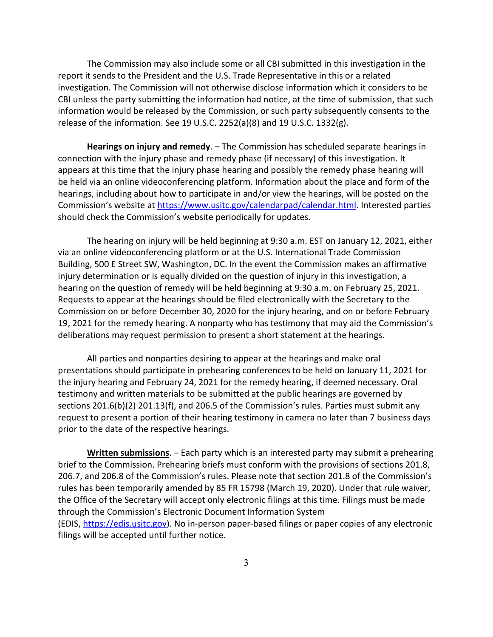The Commission may also include some or all CBI submitted in this investigation in the report it sends to the President and the U.S. Trade Representative in this or a related investigation. The Commission will not otherwise disclose information which it considers to be CBI unless the party submitting the information had notice, at the time of submission, that such information would be released by the Commission, or such party subsequently consents to the release of the information. See 19 U.S.C. 2252(a)(8) and 19 U.S.C. 1332(g).

**Hearings on injury and remedy**. – The Commission has scheduled separate hearings in connection with the injury phase and remedy phase (if necessary) of this investigation. It appears at this time that the injury phase hearing and possibly the remedy phase hearing will be held via an online videoconferencing platform. Information about the place and form of the hearings, including about how to participate in and/or view the hearings, will be posted on the Commission's website at [https://www.usitc.gov/calendarpad/calendar.html.](https://www.usitc.gov/calendarpad/calendar.html) Interested parties should check the Commission's website periodically for updates.

The hearing on injury will be held beginning at 9:30 a.m. EST on January 12, 2021, either via an online videoconferencing platform or at the U.S. International Trade Commission Building, 500 E Street SW, Washington, DC. In the event the Commission makes an affirmative injury determination or is equally divided on the question of injury in this investigation, a hearing on the question of remedy will be held beginning at 9:30 a.m. on February 25, 2021. Requests to appear at the hearings should be filed electronically with the Secretary to the Commission on or before December 30, 2020 for the injury hearing, and on or before February 19, 2021 for the remedy hearing. A nonparty who has testimony that may aid the Commission's deliberations may request permission to present a short statement at the hearings.

All parties and nonparties desiring to appear at the hearings and make oral presentations should participate in prehearing conferences to be held on January 11, 2021 for the injury hearing and February 24, 2021 for the remedy hearing, if deemed necessary. Oral testimony and written materials to be submitted at the public hearings are governed by sections 201.6(b)(2) 201.13(f), and 206.5 of the Commission's rules. Parties must submit any request to present a portion of their hearing testimony in camera no later than 7 business days prior to the date of the respective hearings.

**Written submissions**. – Each party which is an interested party may submit a prehearing brief to the Commission. Prehearing briefs must conform with the provisions of sections 201.8, 206.7, and 206.8 of the Commission's rules. Please note that section 201.8 of the Commission's rules has been temporarily amended by 85 FR 15798 (March 19, 2020). Under that rule waiver, the Office of the Secretary will accept only electronic filings at this time. Filings must be made through the Commission's Electronic Document Information System (EDIS, [https://edis.usitc.gov\)](https://edis.usitc.gov/). No in-person paper-based filings or paper copies of any electronic filings will be accepted until further notice.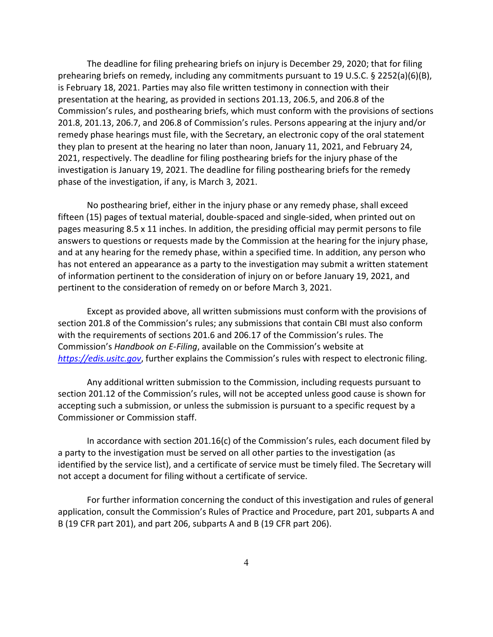The deadline for filing prehearing briefs on injury is December 29, 2020; that for filing prehearing briefs on remedy, including any commitments pursuant to 19 U.S.C. § 2252(a)(6)(B), is February 18, 2021. Parties may also file written testimony in connection with their presentation at the hearing, as provided in sections 201.13, 206.5, and 206.8 of the Commission's rules, and posthearing briefs, which must conform with the provisions of sections 201.8, 201.13, 206.7, and 206.8 of Commission's rules. Persons appearing at the injury and/or remedy phase hearings must file, with the Secretary, an electronic copy of the oral statement they plan to present at the hearing no later than noon, January 11, 2021, and February 24, 2021, respectively. The deadline for filing posthearing briefs for the injury phase of the investigation is January 19, 2021. The deadline for filing posthearing briefs for the remedy phase of the investigation, if any, is March 3, 2021.

No posthearing brief, either in the injury phase or any remedy phase, shall exceed fifteen (15) pages of textual material, double-spaced and single-sided, when printed out on pages measuring 8.5 x 11 inches. In addition, the presiding official may permit persons to file answers to questions or requests made by the Commission at the hearing for the injury phase, and at any hearing for the remedy phase, within a specified time. In addition, any person who has not entered an appearance as a party to the investigation may submit a written statement of information pertinent to the consideration of injury on or before January 19, 2021, and pertinent to the consideration of remedy on or before March 3, 2021.

Except as provided above, all written submissions must conform with the provisions of section 201.8 of the Commission's rules; any submissions that contain CBI must also conform with the requirements of sections 201.6 and 206.17 of the Commission's rules. The Commission's *Handbook on E-Filing*, available on the Commission's website at *[https://edis.usitc.gov](https://edis.usitc.gov/)*, further explains the Commission's rules with respect to electronic filing.

Any additional written submission to the Commission, including requests pursuant to section 201.12 of the Commission's rules, will not be accepted unless good cause is shown for accepting such a submission, or unless the submission is pursuant to a specific request by a Commissioner or Commission staff.

In accordance with section 201.16(c) of the Commission's rules, each document filed by a party to the investigation must be served on all other parties to the investigation (as identified by the service list), and a certificate of service must be timely filed. The Secretary will not accept a document for filing without a certificate of service.

For further information concerning the conduct of this investigation and rules of general application, consult the Commission's Rules of Practice and Procedure, part 201, subparts A and B (19 CFR part 201), and part 206, subparts A and B (19 CFR part 206).